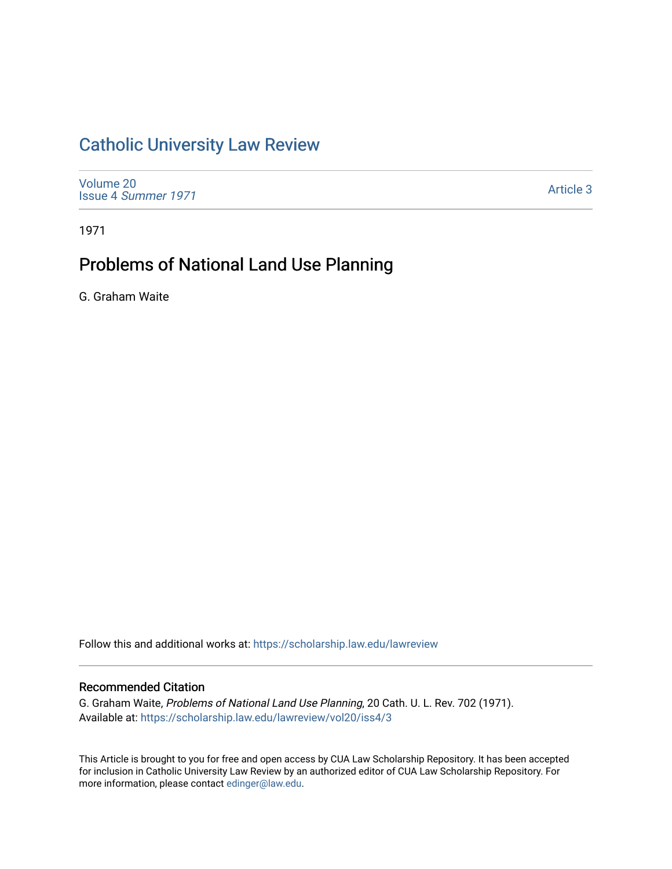# [Catholic University Law Review](https://scholarship.law.edu/lawreview)

[Volume 20](https://scholarship.law.edu/lawreview/vol20) Issue 4 [Summer 1971](https://scholarship.law.edu/lawreview/vol20/iss4) 

[Article 3](https://scholarship.law.edu/lawreview/vol20/iss4/3) 

1971

# Problems of National Land Use Planning

G. Graham Waite

Follow this and additional works at: [https://scholarship.law.edu/lawreview](https://scholarship.law.edu/lawreview?utm_source=scholarship.law.edu%2Flawreview%2Fvol20%2Fiss4%2F3&utm_medium=PDF&utm_campaign=PDFCoverPages)

### Recommended Citation

G. Graham Waite, Problems of National Land Use Planning, 20 Cath. U. L. Rev. 702 (1971). Available at: [https://scholarship.law.edu/lawreview/vol20/iss4/3](https://scholarship.law.edu/lawreview/vol20/iss4/3?utm_source=scholarship.law.edu%2Flawreview%2Fvol20%2Fiss4%2F3&utm_medium=PDF&utm_campaign=PDFCoverPages)

This Article is brought to you for free and open access by CUA Law Scholarship Repository. It has been accepted for inclusion in Catholic University Law Review by an authorized editor of CUA Law Scholarship Repository. For more information, please contact [edinger@law.edu.](mailto:edinger@law.edu)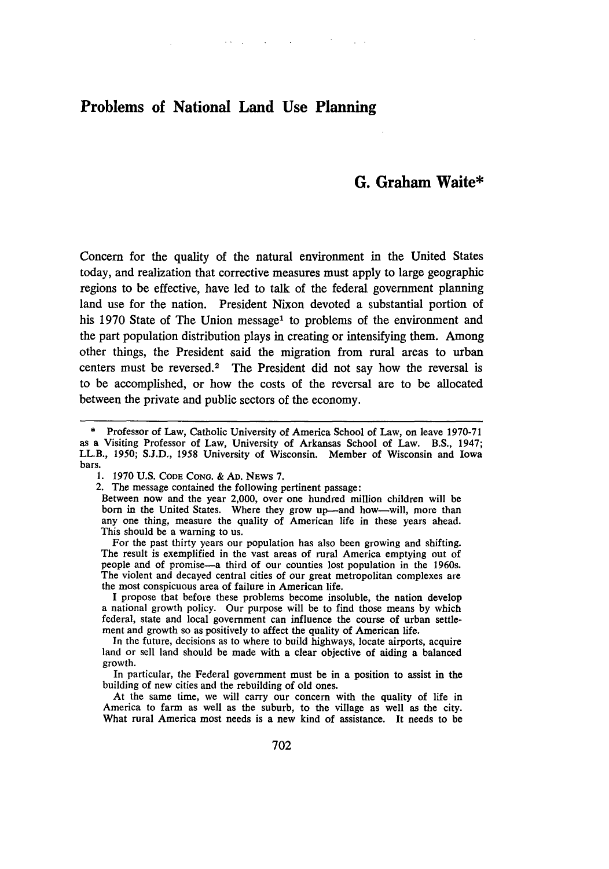## **Problems of National Land Use Planning**

## **G. Graham Waite\***

Concern for the quality of the natural environment in the United States today, and realization that corrective measures must apply to large geographic regions to be effective, have led to talk of the federal government planning land use for the nation. President Nixon devoted a substantial portion of his 1970 State of The Union message<sup>1</sup> to problems of the environment and the part population distribution plays in creating or intensifying them. Among other things, the President said the migration from rural areas to urban centers must be reversed. $2$  The President did not say how the reversal is to be accomplished, or how the costs of the reversal are to be allocated between the private and public sectors of the economy.

 $\mathcal{L}^{\mathcal{L}}$  and  $\mathcal{L}^{\mathcal{L}}$  are the set of the set of the set of the set of  $\mathcal{L}^{\mathcal{L}}$ 

The result is exemplified in the vast areas of rural America emptying out of people and of promise-a third of our counties lost population in the 1960s. The violent and decayed central cities of our great metropolitan complexes are the most conspicuous area of failure in American life.

I propose that before these problems become insoluble, the nation develop a national growth policy. Our purpose will be to find those means by which federal, state and local government can influence the course of urban settlement and growth so as positively to affect the quality of American life.

In the future, decisions as to where to build highways, locate airports, acquire land or sell land should be made with a clear objective of aiding a balanced growth.

In particular, the Federal government must be in a position to assist in the building of new cities and the rebuilding of old ones.

At the same time, we will carry our concern with the quality of life in America to farm as well as the suburb, to the village as well as the city. What rural America most needs is a new kind of assistance. It needs to be

<sup>\*</sup> Professor of Law, Catholic University of America School of Law, on leave 1970-71 as a Visiting Professor of Law, University of Arkansas School of Law. B.S., 1947; LL.B., 1950; S.J.D., 1958 University of Wisconsin. Member of Wisconsin and Iowa bars.

<sup>1. 1970</sup> U.S. **CODE CONG. & AD.** NEWS 7.

<sup>2.</sup> The message contained the following pertinent passage:

Between now and the year 2,000, over one hundred million children will be born in the United States. Where they grow up—and how—will, more than any one thing, measure the quality of American life in these years ahead. This should be a warning to us.<br>For the past thirty years our population has also been growing and shifting.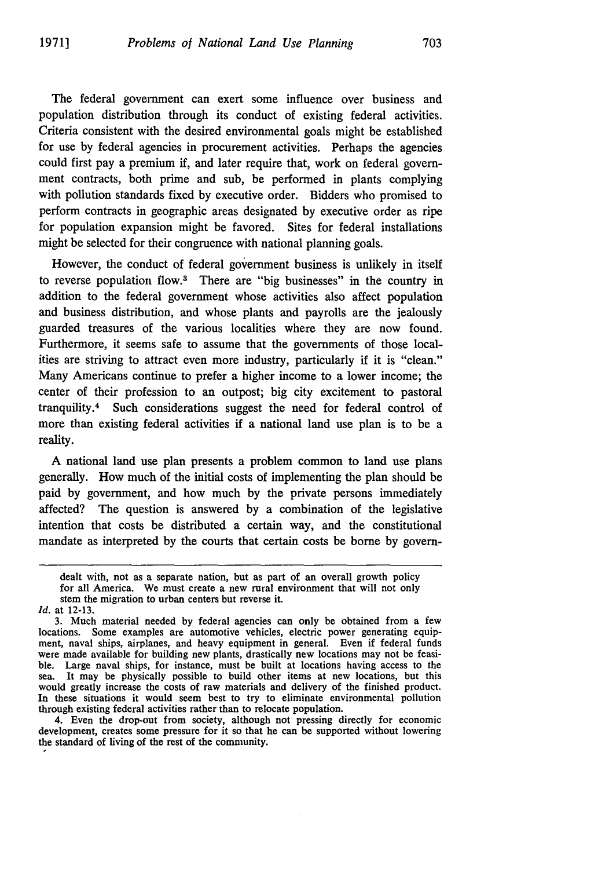The federal government can exert some influence over business and population distribution through its conduct of existing federal activities. Criteria consistent with the desired environmental goals might be established for use by federal agencies in procurement activities. Perhaps the agencies could first pay a premium if, and later require that, work on federal government contracts, both prime and sub, be performed in plants complying with pollution standards fixed by executive order. Bidders who promised to perform contracts in geographic areas designated by executive order as ripe for population expansion might be favored. Sites for federal installations might be selected for their congruence with national planning goals.

However, the conduct of federal government business is unlikely in itself to reverse population flow.<sup>3</sup> There are "big businesses" in the country in addition to the federal government whose activities also affect population and business distribution, and whose plants and payrolls are the jealously guarded treasures of the various localities where they are now found. Furthermore, it seems safe to assume that the governments of those localities are striving to attract even more industry, particularly if it is "clean." Many Americans continue to prefer a higher income to a lower income; the center of their profession to an outpost; big city excitement to pastoral tranquility. 4 Such considerations suggest the need for federal control of more than existing federal activities if a national land use plan is to be a reality.

A national land use plan presents a problem common to land use plans generally. How much of the initial costs of implementing the plan should be paid by government, and how much by the private persons immediately affected? The question is answered by a combination of the legislative intention that costs be distributed a certain way, and the constitutional mandate as interpreted by the courts that certain costs be borne by govern-

4. Even the drop-out from society, although not pressing directly for economic development, creates some pressure for it so that he can be supported without lowering the standard of living of the rest of the community.

dealt with, not as a separate nation, but as part of an overall growth policy for all America. We must create a new rural environment that will not only stem the migration to urban centers but reverse it.

*Id.* at 12-13.

<sup>3.</sup> Much material needed by federal agencies can only be obtained from a few locations. Some examples are automotive vehicles, electric power generating equipment, naval ships, airplanes, and heavy equipment in general. Even if federal funds were made available for building new plants, drastically new locations may not be feasible. Large naval ships, for instance, must be built at locations having access to the sea. It may be physically possible to build other items at new locations, but this would greatly increase the costs of raw materials and delivery of the finished product. In these situations it would seem best to try to eliminate environmental pollution through existing federal activities rather than to relocate population.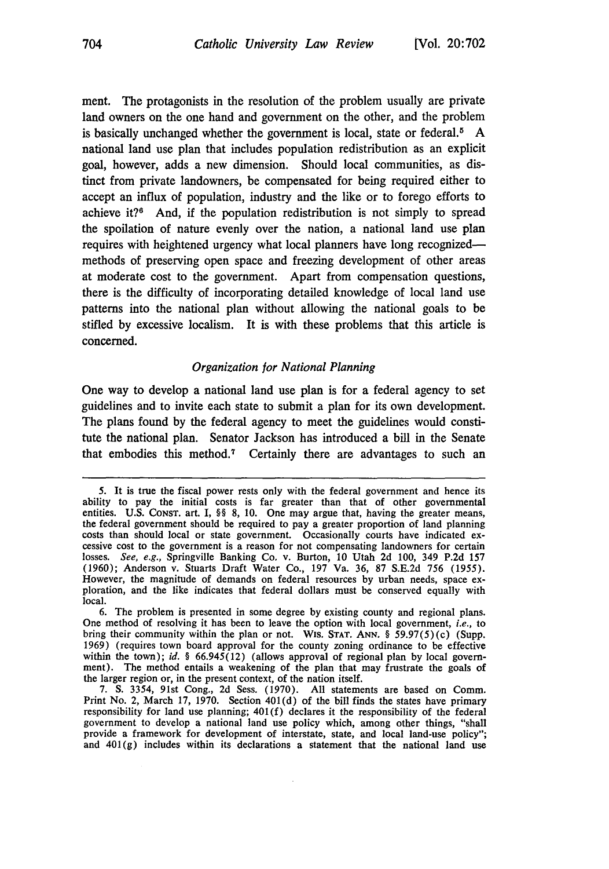ment. The protagonists in the resolution of the problem usually are private land owners on the one hand and government on the other, and the problem is basically unchanged whether the government is local, state or federal.<sup>5</sup> A national land use plan that includes population redistribution as an explicit goal, however, adds a new dimension. Should local communities, as distinct from private landowners, be compensated for being required either to accept an influx of population, industry and the like or to forego efforts to achieve it?6 And, **if** the population redistribution is not simply to spread the spoilation of nature evenly over the nation, a national land use plan requires with heightened urgency what local planners have long recognizedmethods of preserving open space and freezing development of other areas at moderate cost to the government. Apart from compensation questions, there is the difficulty of incorporating detailed knowledge of local land use patterns into the national plan without allowing the national goals to be stifled by excessive localism. It is with these problems that this article is concerned.

#### *Organization for National Planning*

One way to develop a national land use plan is for a federal agency to set guidelines and to invite each state to submit a plan for its own development. The plans found by the federal agency to meet the guidelines would constitute the national plan. Senator Jackson has introduced a bill in the Senate that embodies this method.<sup>7</sup> Certainly there are advantages to such an

<sup>5.</sup> It is true the fiscal power rests only with the federal government and hence its ability to pay the initial costs is far greater than that of other governmental entities. U.S. CONST. art. I, §§ 8, 10. One may argue that, having the greater means, the federal government should be required to pay a greater proportion of land planning costs than should local or state government. Occasionally courts have indicated ex- cessive cost to the government is a reason for not compensating landowners for certain losses. *See, e.g.,* Springville Banking Co, v. Burton, 10 Utah 2d 100, 349 P.2d 157 (1960); Anderson v. Stuarts Draft Water Co., 197 Va. 36, 87 S.E.2d 756 (1955). However, the magnitude of demands on federal resources by urban needs, space ex- ploration, and the like indicates that federal dollars must be conserved equally with local.

<sup>6.</sup> The problem is presented in some degree by existing county and regional plans. One method of resolving it has been to leave the option with local government, *i.e.,* to bring their community within the plan or not. WIS. **STAT. ANN.** § 59.97(5)(c) (Supp. 1969) (requires town board approval for the county zoning ordinance to be effective within the town); *id.* § 66.945(12) (allows approval of regional plan by local government). The method entails a weakening of the plan that may frustrate the goals of the larger region or, in the present context, of the nation itself.

<sup>7.</sup> S. 3354, 91st Cong., 2d Sess. (1970). All statements are based on Comm. Print No. 2, March 17, 1970. Section  $401(d)$  of the bill finds the states have primary responsibility for land use planning; 401(f) declares it the responsibility of the federal government to develop a national land use policy which, among other things, "shall provide a framework for development **of** interstate, state, and local land-use policy"; and  $401(g)$  includes within its declarations a statement that the national land use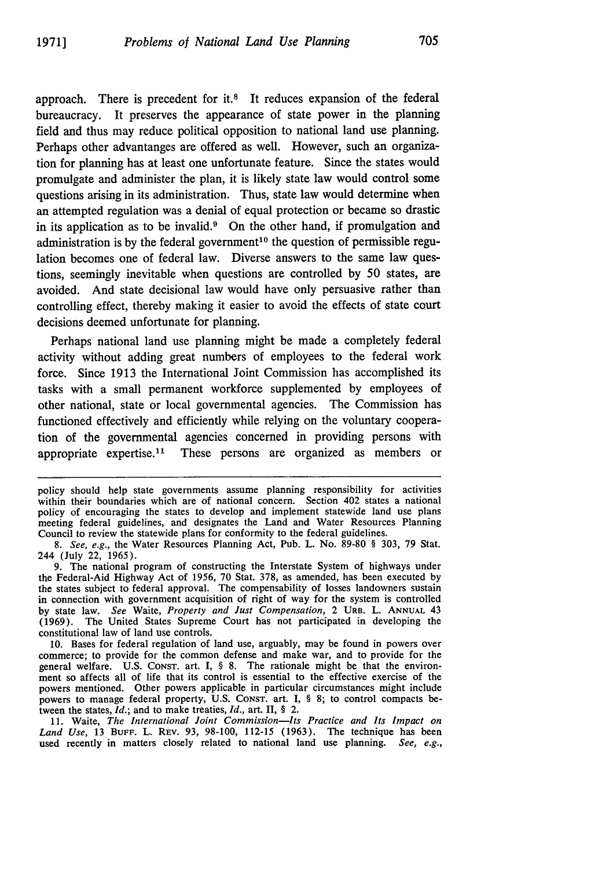approach. There is precedent for it.<sup>8</sup> It reduces expansion of the federal bureaucracy. It preserves the appearance of state power in the planning field and thus may reduce political opposition to national land use planning. Perhaps other advantanges are offered as well. However, such an organization for planning has at least one unfortunate feature. Since the states would promulgate and administer the plan, it is likely state law would control some questions arising in its administration. Thus, state law would determine when an attempted regulation was a denial of equal protection or became so drastic in its application as to be invalid. $9$  On the other hand, if promulgation and administration is by the federal government<sup>10</sup> the question of permissible regulation becomes one of federal law. Diverse answers to the same law questions, seemingly inevitable when questions are controlled by 50 states, are avoided. And state decisional law would have only persuasive rather than controlling effect, thereby making it easier to avoid the effects of state court decisions deemed unfortunate for planning.

Perhaps national land use planning might be made a completely federal activity without adding great numbers of employees to the federal work force. Since 1913 the International Joint Commission has accomplished its tasks with a small permanent workforce supplemented by employees of other national, state or local governmental agencies. The Commission has functioned effectively and efficiently while relying on the voluntary cooperation of the governmental agencies concerned in providing persons with appropriate expertise.<sup>11</sup> These persons are organized as members or

policy should help state governments assume planning responsibility for activities within their boundaries which are of national concern. Section 402 states a national policy of encouraging the states to develop and implement statewide land use plans meeting federal guidelines, and designates the Land and Water Resources Planning Council to review the statewide plans for conformity to the federal guidelines.

9. The national program of constructing the Interstate System of highways under the Federal-Aid Highway Act of 1956, 70 Stat. 378, as amended, has been executed by the states subject to federal approval. The compensability of losses landowners sustain in connection with government acquisition of right of way for the system is controlled by state law. *See* Waite, *Property and Just Compensation,* 2 URB. L. **ANNUAL** 43 (1969). The United States Supreme Court has not participated in developing the constitutional law of land use controls.

10. Bases for federal regulation of land use, arguably, may be found in powers over commerce; to provide for the common defense and make war, and to provide for the general welfare. U.S. **CONST.** art. I, § 8. The rationale might be that the environment so affects all of life that its control is essential to the effective exercise of the powers mentioned. Other powers applicable in particular circumstances might include powers to manage federal property, U.S. CONST. art. **I,** § 8; to control compacts between the states, *Id.;* and to make treaties, *Id.,* art. II, § 2.

11. Waite, *The International Joint Commission-Its Practice and Its Impact on Land Use,* 13 **BUFF.** L. REV. 93, 98-100, 112-15 (1963). The technique has been used recently in matters closely related to national land use planning. *See, e.g.,*

*<sup>8.</sup> See, e.g.,* the Water Resources Planning Act, Pub. L. No. 89-80 § 303, 79 Stat. 244 (July 22, 1965).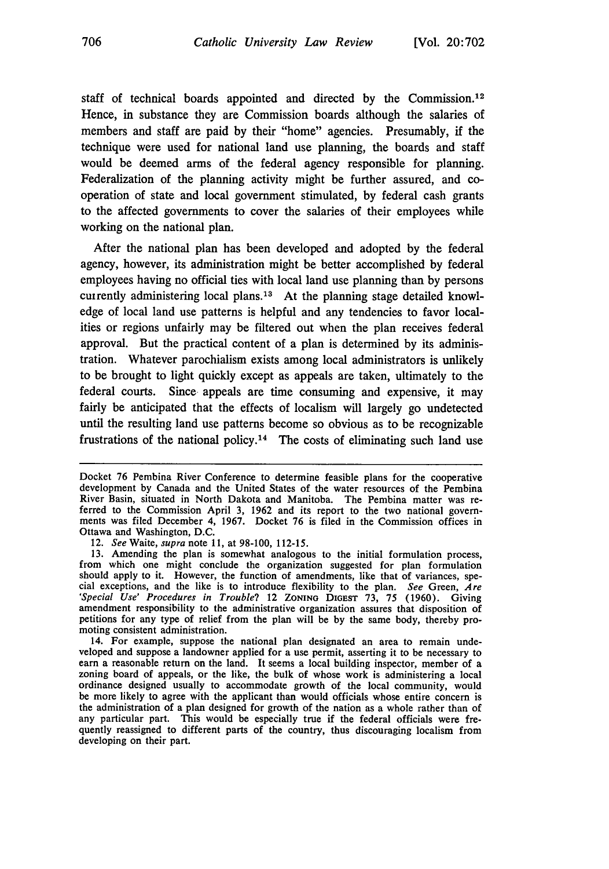staff of technical boards appointed and directed by the Commission.<sup>12</sup> Hence, in substance they are Commission boards although the salaries of members and staff are paid **by** their "home" agencies. Presumably, if the technique were used for national land use planning, the boards and staff would be deemed arms of the federal agency responsible for planning. Federalization of the planning activity might be further assured, and cooperation of state and local government stimulated, **by** federal cash grants to the affected governments to cover the salaries of their employees while working on the national plan.

After the national plan has been developed and adopted **by** the federal agency, however, its administration might be better accomplished **by** federal employees having no official ties with local land use planning than **by** persons cutrently administering local plans.13 At the planning stage detailed knowledge of local land use patterns is helpful and any tendencies to favor localities or regions unfairly may be filtered out when the plan receives federal approval. But the practical content of a plan is determined **by** its administration. Whatever parochialism exists among local administrators is unlikely to be brought to light quickly except as appeals are taken, ultimately to the federal courts. Since appeals are time consuming and expensive, it may fairly be anticipated that the effects of localism will largely go undetected until the resulting land use patterns become so obvious as to be recognizable frustrations of the national policy.<sup>14</sup> The costs of eliminating such land use

12. *See Waite,* supra note **11,** at 98-100, **112-15.**

Docket **76** Pembina River Conference to determine feasible plans for the cooperative development **by** Canada and the United States of the water resources of the Pembina River Basin, situated in North Dakota and Manitoba. The Pembina matter was re-<br>ferred to the Commission April 3, 1962 and its report to the two national governments was filed December 4, **1967.** Docket **76** is filed in the Commission offices in Ottawa and Washington, **D.C.**

**<sup>13.</sup>** Amending the plan is somewhat analogous to the initial formulation process, from which one might conclude the organization suggested for plan formulation should apply to it. However, the function of amendments, like that of variances, special exceptions, and the like is to introduce flexibility to the plan. *See* Green, *Are 'Special Use' Procedures in Trouble?* 12 **ZONING DIGEST 73, 75** (1960). Giving amendment responsibility to the administrative organization assures that disposition of petitions for any type of relief from the plan will be by the same body, thereby promoting consistent administration.

<sup>14.</sup> For example, suppose the national plan designated an area to remain undeveloped and suppose a landowner applied for a use permit, asserting it to be necessary to earn a reasonable return on the land. It seems a local building inspector, member of a zoning board of appeals, or the like, the bul ordinance designed usually to accommodate growth of the local community, would be more likely to agree with the applicant than would officials whose entire concern is the administration of a plan designed for growth of the nation as a whole rather than of any particular part. This would be especially true if the federal officials were frequently reassigned to different parts of the country, thus discouraging localism from developing on their part.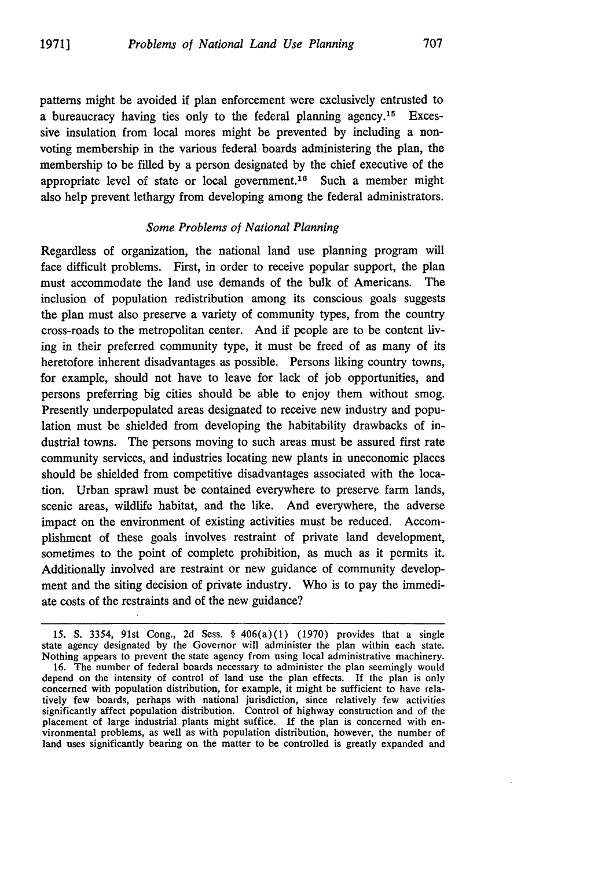patterns might be avoided if plan enforcement were exclusively entrusted to a bureaucracy having ties only to the federal planning agency.<sup>15</sup> Excessive insulation **fron** local mores might be prevented by including a nonvoting membership in the various federal boards administering the plan, the membership to be filled by a person designated by the chief executive of the appropriate level of state or local government.<sup>16</sup> Such a member might also help prevent lethargy from developing among the federal administrators.

#### *Some Problems of National Planning*

Regardless of organization, the national land use planning program will face difficult problems. First, in order to receive popular support, the plan must accommodate the land use demands of the bulk of Americans. The inclusion of population redistribution among its conscious goals suggests the plan must also preserve a variety of community types, from the country cross-roads to the metropolitan center. And if people are to be content living in their preferred community type, it must be freed of as many of its heretofore inherent disadvantages as possible. Persons liking country towns, for example, should not have to leave for lack of job opportunities, and persons preferring big cities should be able to enjoy them without smog. Presently underpopulated areas designated to receive new industry and population must be shielded from developing the habitability drawbacks of industrial towns. The persons moving to such areas must be assured first rate community services, and industries locating new plants in uneconomic places should be shielded from competitive disadvantages associated with the location. Urban sprawl must be contained everywhere to preserve farm lands, scenic areas, wildlife habitat, and the like. And everywhere, the adverse impact on the environment of existing activities must be reduced. Accomplishment of these goals involves restraint of private land development, sometimes to the point of complete prohibition, as much as it permits it. Additionally involved are restraint or new guidance of community development and the siting decision of private industry. Who is to pay the immediate costs of the restraints and of the new guidance?

<sup>15.</sup> S. 3354, 91st Cong., 2d Sess. § 406(a)(1) (1970) provides that a single state agency designated by the Governor will administer the plan within each state. Nothing appears to prevent the state agency from using local administrative machinery.

<sup>16.</sup> The number of federal boards necessary to administer the plan seemingly would depend on the intensity of control of land use the plan effects. If the plan is only concerned with population distribution, for example, it might be sufficient to have relatively few boards, perhaps with national jurisdiction, since relatively few activities significantly affect population distribution. Control of highway construction and of the placement of large industrial plants might suffice. **If** the plan is concerned with environmental problems, as well as with population distribution, however, the number of land uses significantly bearing on the matter to be controlled is greatly expanded and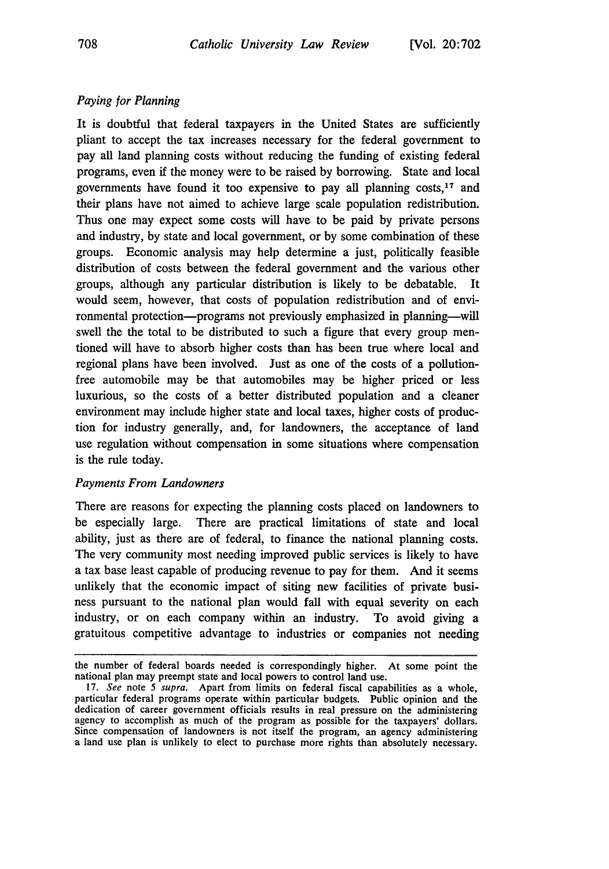### *Paying for Planning*

It is doubtful that federal taxpayers in the United States are sufficiently pliant to accept the tax increases necessary for the federal government to pay all land planning costs without reducing the funding of existing federal programs, even if the money were to be raised by borrowing. State and local governments have found it too expensive to pay all planning  $costs<sub>1</sub>$ <sup>17</sup> and their plans have not aimed to achieve large scale population redistribution. Thus one may expect some costs will have to be paid by private persons and industry, by state and local government, or by some combination of these groups. Economic analysis may help determine a just, politically feasible distribution of costs between the federal government and the various other groups, although any particular distribution is likely to be debatable. It would seem, however, that costs of population redistribution and of environmental protection--programs not previously emphasized in planning--will swell the the total to be distributed to such a figure that every group mentioned will have to absorb higher costs than has been true where local and regional plans have been involved. Just as one of the costs of a pollutionfree automobile may be that automobiles may be higher priced or less luxurious, so the costs of a better distributed population and a cleaner environment may include higher state and local taxes, higher costs of production for industry generally, and, for landowners, the acceptance of land use regulation without compensation in some situations where compensation is the rule today.

#### *Payments From Landowners*

There are reasons for expecting the planning costs placed on landowners to be especially large. There are practical limitations of state and local ability, just as there are of federal, to finance the national planning costs. The very community most needing improved public services is likely to have a tax base least capable of producing revenue to pay for them. And it seems unlikely that the economic impact of siting new facilities of private business pursuant to the national plan would fall with equal severity on each industry, or on each company within an industry. To avoid giving a gratuitous competitive advantage to industries or companies not needing

the number of federal boards needed is correspondingly higher. At some point the national plan may preempt state and local powers to control land use.

<sup>17.</sup> See note 5 supra. Apart from limits on federal fiscal capabilities as a whole, particular federal programs operate within particular budgets. Public opinion and the dedication of career government officials results in real pressure on the administering agency to accomplish as much of the program as possible for the taxpayers' dollars. Since compensation of landowners is not itself the program, an agency administering a land use plan is unlikely to elect to purchase more rights than absolutely necessary.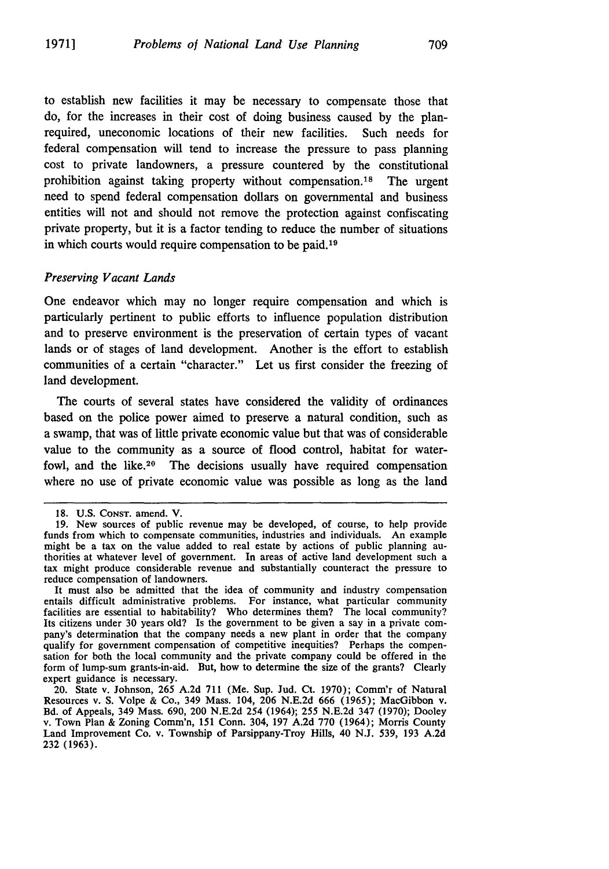to establish new facilities it may be necessary to compensate those that do, for the increases in their cost of doing business caused by the planrequired, uneconomic locations of their new facilities. Such needs for federal compensation will tend to increase the pressure to pass planning cost to private landowners, a pressure countered by the constitutional prohibition against taking property without compensation.<sup>18</sup> The urgent need to spend federal compensation dollars on governmental and business entities will not and should not remove the protection against confiscating private property, but it is a factor tending to reduce the number of situations in which courts would require compensation to be paid.<sup>19</sup>

#### *Preserving Vacant Lands*

One endeavor which may no longer require compensation and which is particularly pertinent to public efforts to influence population distribution and to preserve environment is the preservation of certain types of vacant lands or of stages of land development. Another is the effort to establish communities of a certain "character." Let us first consider the freezing of land development.

The courts of several states have considered the validity of ordinances based on the police power aimed to preserve a natural condition, such as a swamp, that was of little private economic value but that was of considerable value to the community as a source of flood control, habitat for waterfowl, and the like.<sup>20</sup> The decisions usually have required compensation where no use of private economic value was possible as long as the land

It must also be admitted that the idea of community and industry compensation entails difficult administrative problems. For instance, what particular community facilities are essential to habitability? Who determines them? The local community?<br>Its citizens under 30 years old? Is the government to be given a say in a private company's determination that the company needs a new plant in order that the company qualify for government compensation of competitive inequities? Perhaps the compensation for both the local community and the private company could be offered in the form of lump-sum grants-in-aid. But, how to determine the size of the grants? Clearly expert guidance is necessary.

20. State v. Johnson, 265 A.2d 711 (Me. Sup. Jud. Ct. 1970); Comm'r of Natural Resources v. S. Volpe & Co., 349 Mass. 104, 206 N.E.2d 666 (1965); MacGibbon v. Bd. of Appeals, 349 Mass. 690, 200 N.E.2d 254 (1964); 255 N.E.2d 347 (1970); Dooley v. Town Plan & Zoning Comm'n, 151 Conn. 304, 197 A.2d 770 (1964); Morris County Land Improvement Co. v. Township of Parsippany-Troy Hills, 40 N.J. 539, 193 A.2d 232 (1963).

<sup>18.</sup> U.S. CONST. amend. V.

<sup>19.</sup> New sources of public revenue may be developed, of course, to help provide funds from which to compensate communities, industries and individuals. An example might be a tax on the value added to real estate by actions of public planning au- thorities at whatever level of government. In areas of active land development such a tax might produce considerable revenue and substantially counteract the pressure to reduce compensation of landowners.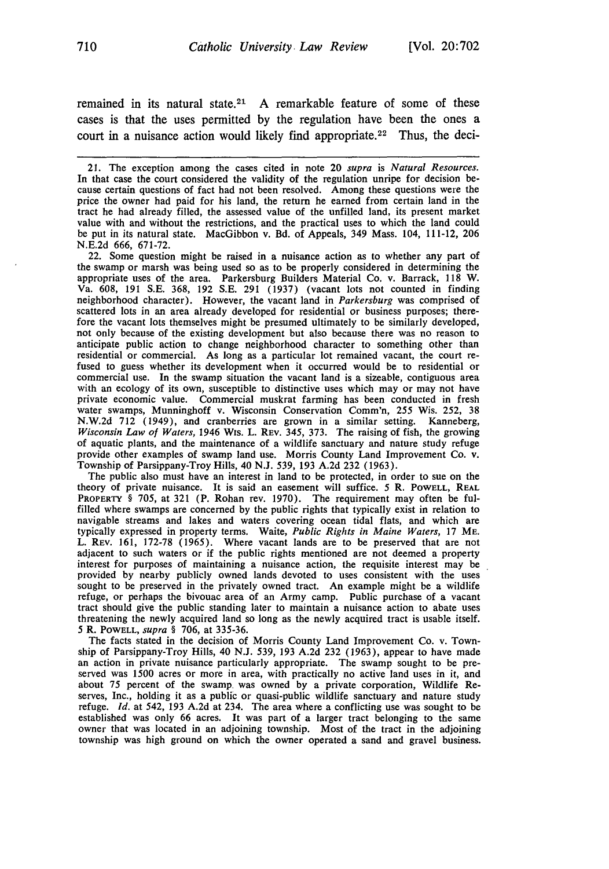remained in its natural state.<sup>21</sup> A remarkable feature of some of these cases is that the uses permitted by the regulation have been the ones a court in a nuisance action would likely find appropriate.<sup>22</sup> Thus, the deci-

21. The exception among the cases cited in note 20 supra is *Natural Resources.* cause certain questions of fact had not been resolved. Among these questions were the price the owner had paid for his land, the return he earned from certain land in the tract he had already filled, the assessed value of the unfilled land, its present market value with and without the restrictions, and the practical uses to which the land could be put in its natural state. MacGibbon v. Bd. of Appeals, 349 Mass. 104, 111-12, 206 N.E.2d 666, 671-72.

22. Some question might be raised in a nuisance action as to whether any part of the swamp or marsh was being used so as to be properly considered in determining the appropriate uses of the area. Parkersburg Builders Material Co. v. Barrack, 118 W. Va. 608, 191 S.E. 368, 192 S.E. 291 (1937) (vacant lots not counted in finding neighborhood character). However, the vacant land in *Parkersburg* was comprised of scattered lots in an area already developed for residential or business purposes; therefore the vacant lots themselves might be presumed ultimately to be similarly developed, not only because of the existing development but also because there was no reason to anticipate public action to change neighborhood character to something other than residential or commercial. As long as a particular lot remained vacant, the court re-<br>fused to guess whether its development when it occurred would be to residential or<br>commercial use. In the swamp situation the vacant lan private economic value. Commercial muskrat farming has been conducted in fresh water swamps, Munninghoff v. Wisconsin Conservation Comm'n, 255 Wis. 252, 38 N.W.2d 712 (1949), and cranberries are grown in a similar setting. Kanneberg, *Wisconsin Law of Waters,* 1946 Wis. L. REV. 345, 373. The raising of fish, the growing of aquatic plants, and the maintenance of a wildlife sanctuary and nature study refuge provide other examples of swamp land use. Morris County Land Improvement Co. v. Township of Parsippany-Troy Hills, 40 N.J. 539, 193 A.2d 232 (1963).

The public also must have an interest in land to be protected, in order to sue on the theory of private nuisance. It is said an easement will suffice. 5 R. POWELL, REAL **PROPERTY** § 705, at 321 (P. Rohan rev. 1970). The requirement may often be fulfilled where swamps are concerned by the public rights that typically exist in relation to navigable streams and lakes and waters covering ocean tidal flats, and which are typically expressed in property terms. Waite, *Public Rights in Maine Waters,* 17 ME. L. REV. 161, 172-78 (1965). Where vacant lands are to be preserved that are not adjacent to such waters or if the public rights mentioned are not deemed a property interest for purposes of maintaining a nuisance action, the requisite interest may be provided by nearby publicly owned lands devoted to uses consistent with the uses sought to be preserved in the privately owned tract. An example might be a wildlife refuge, or perhaps the bivouac area of an Army camp. Public purchase of a vacant tract should give the public standing later to maintain a nuisance action to abate uses threatening the newly acquired land so long as the newly acquired tract is usable itself. 5 R. POWELL, *supra §* 706, at 335-36.

The facts stated in the decision of Morris County Land Improvement Co. v. Township of Parsippany-Troy Hills, 40 N.J. 539, 193 A.2d 232 (1963), appear to have made an action in private nuisance particularly appropriate. The swamp sought to be preserved was 1500 acres or more in area, with practically no active land uses in it, and about 75 percent of the swamp. was owned by a private corporation, Wildlife Reserves, Inc., holding it as a public or quasi-public wildlife sanctuary and nature study refuge. *Id.* at 542, 193 A.2d at 234. The area where a conflicting use was sought to be established was only 66 acres. It was part of a larger tract belonging to the same owner that was located in an adjoining township. Most of the tract in the adjoining township was high ground on which the owner operated a sand and gravel business.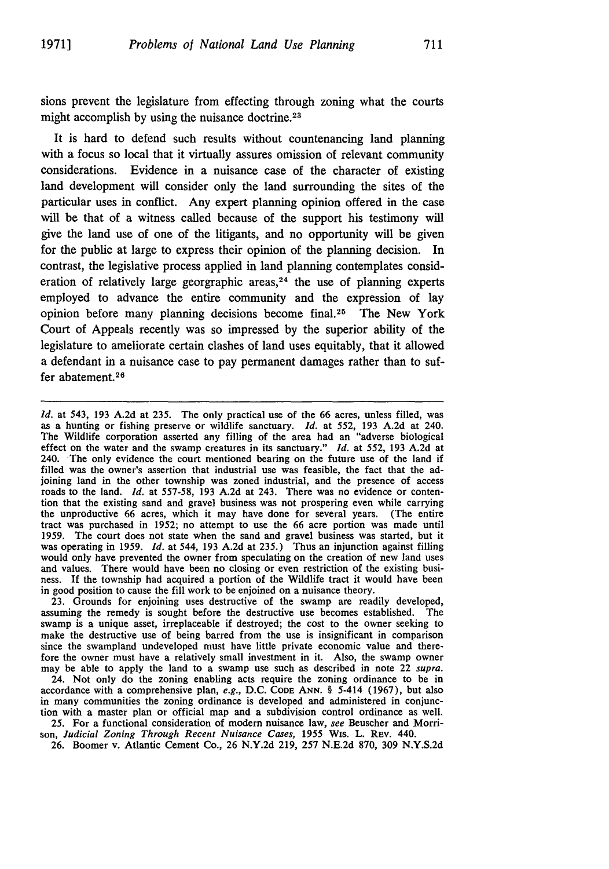711

sions prevent the legislature from effecting through zoning what the courts might accomplish by using the nuisance doctrine.<sup>23</sup>

It is hard to defend such results without countenancing land planning with a focus so local that it virtually assures omission of relevant community considerations. Evidence in a nuisance case of the character of existing land development will consider only the land surrounding the sites of the particular uses in conflict. Any expert planning opinion offered in the case will be that of a witness called because of the support his testimony will give the land use of one of the litigants, and no opportunity will be given for the public at large to express their opinion of the planning decision. In contrast, the legislative process applied in land planning contemplates consideration of relatively large georgraphic areas,  $24$  the use of planning experts employed to advance the entire community and the expression of lay opinion before many planning decisions become final.<sup>25</sup> The New York Court of Appeals recently was so impressed by the superior ability of the legislature to ameliorate certain clashes of land uses equitably, that it allowed a defendant in a nuisance case to pay permanent damages rather than to suffer abatement.<sup>26</sup>

*Id.* at 543, 193 A.2d at 235. The only practical use of the 66 acres, unless filled, was as a hunting or fishing preserve or wildlife sanctuary. *Id.* at 552, 193 A.2d at 240. The Wildlife corporation asserted any filling of the area had an "adverse biological effect on the water and the swamp creatures in its sanctuary." *Id.* at 552, 193 A.2d at 240. The only evidence the court mentioned bearing on the future use of the land if filled was the owner's assertion that industrial use was feasible, the fact that the adjoining land in the other township was zoned industrial, and the presence of access roads to the land. *Id.* at 557-58, 193 A.2d at 243. There was no evidence or contention that the existing sand and gravel business was not prospering even while carrying the unproductive 66 acres, which it may have done for several years. (The entire tract was purchased in 1952; no attempt to use the 66 acre portion was made until 1959. The court does not state when the sand and gravel business was started, but it was operating in 1959. *Id.* at 544, 193 A.2d at 235.) Thus an injunction against filling would only have prevented the owner from speculating on the creation of new land uses<br>and values. There would have been no closing or even restriction of the existing busi-<br>ness. If the township had acquired a portion of t in good position to cause the fill work to be enjoined on a nuisance theory.

23. Grounds for enjoining uses destructive of the swamp are readily developed, assuming the remedy is sought before the destructive use becomes established. The swamp is a unique asset, irreplaceable if destroyed; the cost to the owner seeking to make the destructive use of being barred from the use is insignificant in comparison since the swampland undeveloped must have little private economic value and there-<br>fore the owner must have a relatively small investment in it. Also, the swamp owner may be able to apply the land to a swamp use such as described in note 22 supra.

24. Not only do the zoning enabling acts require the zoning ordinance to be in accordance with a comprehensive plan, e.g., D.C. **CODE ANN.** § 5-414 (1967), but also in many communities the zoning ordinance is developed and administered in conjunction with a master plan or official map and a subdivision control ordinance as well.

25. For a functional consideration of modem nuisance law, see Beuscher and Morrison, Judicial *Zoning Through Recent Nuisance Cases,* 1955 Wis. L. REv. 440. 26. Boomer v. Atlantic Cement Co., 26 N.Y.2d 219, 257 N.E.2d 870, 309 N.Y.S.2d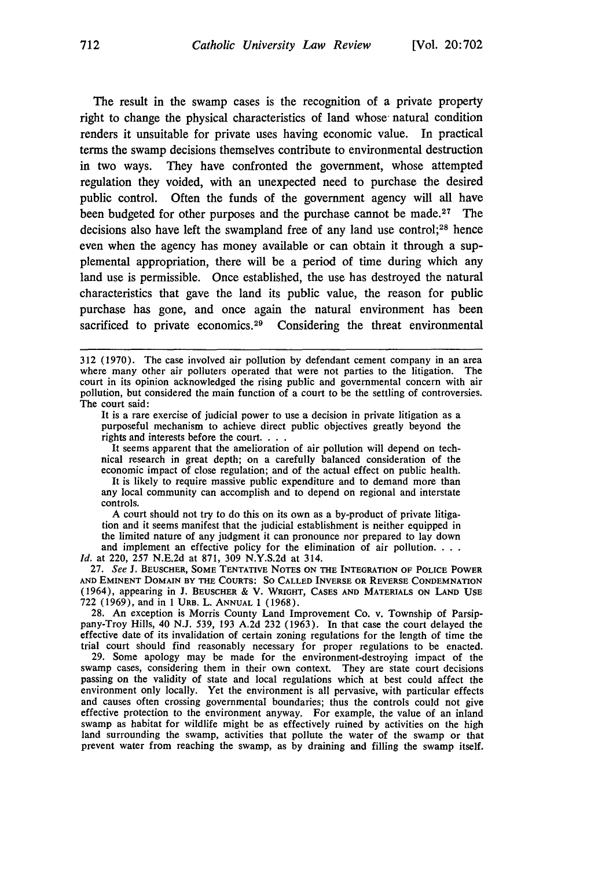The result in the swamp cases is the recognition of a private property right to change the physical characteristics of land whose natural condition renders it unsuitable for private uses having economic value. In practical terms the swamp decisions themselves contribute to environmental destruction in two ways. They have confronted the government, whose attempted regulation they voided, with an unexpected need to purchase the desired public control. Often the funds of the government agency will all have been budgeted for other purposes and the purchase cannot be made.<sup>27</sup> The decisions also have left the swampland free of any land use control;<sup>28</sup> hence even when the agency has money available or can obtain it through a supplemental appropriation, there will be a period of time during which any land use is permissible. Once established, the use has destroyed the natural characteristics that gave the land its public value, the reason for public purchase has gone, and once again the natural environment has been

sacrificed to private economics.<sup>29</sup> Considering the threat environmental

It is a rare exercise of judicial power to use a decision in private litigation as a purposeful mechanism to achieve direct public objectives greatly beyond the rights and interests before the court. . .

It seems apparent that the amelioration of air pollution will depend on technical research in great depth; on a carefully balanced consideration of the economic impact of close regulation; and of the actual effect on public health.

It is likely to require massive public expenditure and to demand more than any local community can accomplish and to depend on regional and interstate controls.

A court should not try to do this on its own as a by-product of private litigation and it seems manifest that the judicial establishment is neither equipped in the limited nature of any judgment it can pronounce nor prepared to lay down and implement an effective policy for the elimination of air pollution.  $\ldots$ 

*Id.* at 220, 257 N.E.2d at 871, 309 N.Y.S.2d at 314.

27. *See* J. **BEUSCHER, SOME TENTATIVE NOTES ON THE INTEGRATION** OF **POLICE POWER AND EMINENT DOMAIN BY THE COURTS: So CALLED INVERSE OR REVERSE CONDEMNATION** (1964), appearing in J. **BEUSCHER** & V. **WRIGHT, CASES AND** MATERIALS ON **LAND USE** 722 (1969), and in 1 URB. L. **ANNUAL** 1 (1968).

28. An exception is Morris County Land Improvement Co. v. Township **of** Parsippany-Troy Hills, 40 N.J. 539, 193 A.2d 232 (1963). In that case the court delayed the effective date of its invalidation of certain zoning regulations for the length of time the trial court should find reasonably necessary for proper regulations to be enacted.

29. Some apology may be made for the environment-destroying impact of the swamp cases, considering them in their own context. They are state court decisions passing on the validity of state and local regulations which at best could affect the environment only locally. Yet the environment is all pervasive, with particular effects and causes often crossing governmental boundaries; thus the controls could not give effective protection to the environment anyway. For example, the value of an inland swamp as habitat for wildlife might be as effectively ruined by activities on the high land surrounding the swamp, activities that pollute the water of the swamp or that prevent water from reaching the swamp, as by draining and filling the swamp itself.

<sup>312 (1970).</sup> The case involved air pollution by defendant cement company in an area where many other air polluters operated that were not parties to the litigation. The court in its opinion acknowledged the rising public and governmental concern with air pollution, but considered the main function of a court to be the settling of controversies. The court said: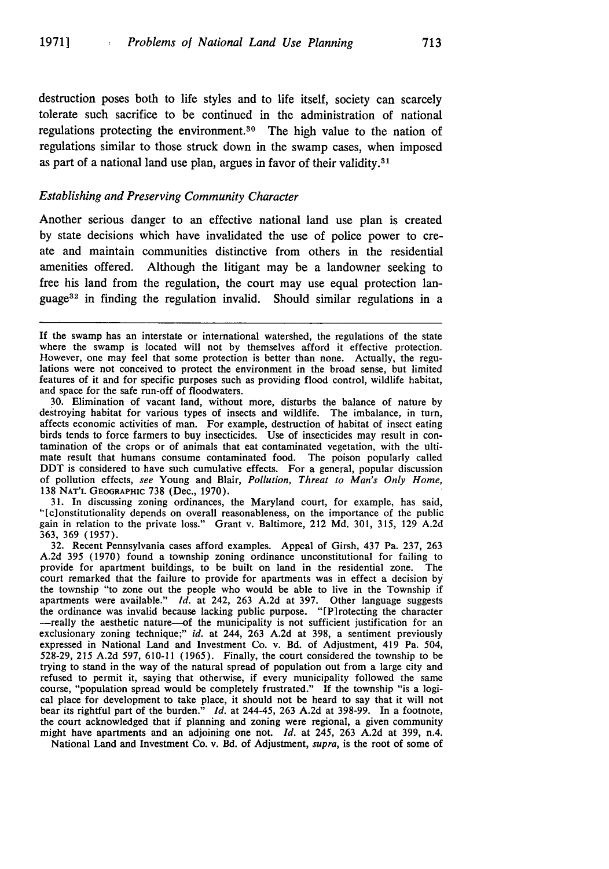destruction poses both to life styles and to life itself, society can scarcely tolerate such sacrifice to be continued in the administration of national regulations protecting the environment.<sup>30</sup> The high value to the nation of regulations similar to those struck down in the swamp cases, when imposed as part of a national land use plan, argues in favor of their validity. $31$ 

#### *Establishing and Preserving Community Character*

Another serious danger to an effective national land use plan is created by state decisions which have invalidated the use of police power to create and maintain communities distinctive from others in the residential amenities offered. Although the litigant may be a landowner seeking to free his land from the regulation, the court may use equal protection language32 in finding the regulation invalid. Should similar regulations in a

**30.** Elimination of vacant land, without more, disturbs the balance of nature **by** destroying habitat for various types of insects and wildlife. The imbalance, in turn, affects economic activities of man. For example, destruction of habitat of insect eating birds tends to force farmers to buy insecticides. Use of insecticides may result in contamination of the crops or of animals that eat contaminated vegetation, with the ultimate result that humans consume contaminated food. The poison popularly called DDT is considered to have such cumulative effects. For a general, popular discussion of pollution effects, see Young and Blair, *Pollution, Threat to Man's Only Home,* 138 **NAT'L** GEOGRAPHIC 738 (Dec., 1970).

31. In discussing zoning ordinances, the Maryland court, for example, has said, "[c]onstitutionality depends on overall reasonableness, on the importance of the public gain in relation to the private loss." Grant v. Baltimore, 212 Md. 301, 315, 129 A.2d 363, 369 (1957).

32. Recent Pennsylvania cases afford examples. Appeal of Girsh, 437 Pa. 237, 263 A.2d 395 (1970) found a township zoning ordinance unconstitutional for failing to provide for apartment buildings, to be built on land in the residential zone. The court remarked that the failure to provide for apartments was in effect a decision by the township "to zone out the people who would be able to live in the Township if apartments were available." *Id.* at 242, 263 A.2d at 397. Other language suggests the ordinance was invalid because lacking public purpose. "[P]rotecting the character -really the aesthetic nature-of the municipality is not sufficient justification for an exclusionary zoning technique;" *id.* at 244, 263 A.2d at 398, a sentiment previously expressed in National Land and Investment Co. v. Bd. of Adjustment, 419 Pa. 504, 528-29, 215 A.2d 597, 610-11 (1965). Finally, the court considered the township to be trying to stand in the way of the natural spread of population out from a large city and refused to permit it, saying that otherwise, if every municipality followed the same course, "population spread would be completely frustrated." If the township "is a logical place for development to take place, it should not be heard to say that it will not bear its rightful part of the burden." *Id.* at 244-45, 263 A.2d at 398-99. In a footnote, the court acknowledged that if planning and zoning were regional, a given community might have apartments and an adjoining one not. *Id.* at 245, 263 A.2d at 399, n.4.

National Land and Investment Co. v. Bd. of Adjustment, *supra,* is the root of some of

If the swamp has an interstate or international watershed, the regulations of the state where the swamp is located will not by themselves afford it effective protection. However, one may feel that some protection is better than none. Actually, the regulations were not conceived to protect the environment in the broad sense, but limited features of it and for specific purposes such as providing flood control, wildlife habitat, and space for the safe run-off of floodwaters.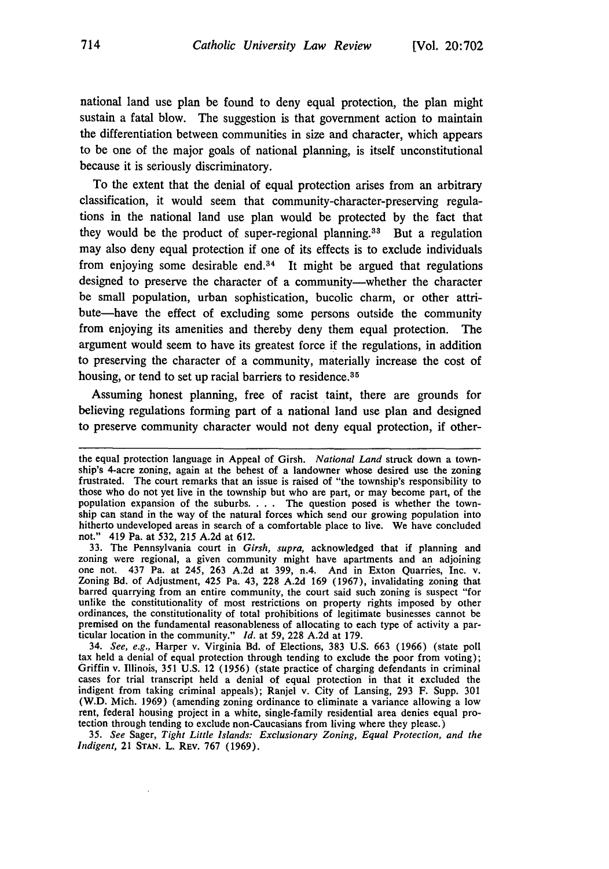national land use plan be found to deny equal protection, the plan might sustain a fatal blow. The suggestion is that government action to maintain the differentiation between communities in size and character, which appears to be one of **the** major goals of national planning, is itself unconstitutional because it is seriously discriminatory.

To the extent that the denial of equal protection arises from an arbitrary classification, it would seem that community-character-preserving regulations in the national land use plan would be protected **by** the fact that they would be the product of super-regional planning.<sup>33</sup> But a regulation may also deny equal protection if one of its effects is to exclude individuals from enjoying some desirable end. $34$  It might be argued that regulations designed to preserve the character of a community-whether the character be small population, urban sophistication, bucolic charm, or other attribute-have the effect of excluding some persons outside the community from enjoying its amenities and thereby deny them equal protection. The argument would seem to have its greatest force if the regulations, in addition to preserving the character of a community, materially increase the cost of housing, or tend to set up racial barriers to residence.<sup>35</sup>

Assuming honest planning, free of racist taint, there are grounds for believing regulations forming part of a national land use plan and designed to preserve community character would not deny equal protection, if other-

*35. See* Sager, *Tight Little Islands: Exclusionary Zoning, Equal Protection, and the Indigent,* 21 **STAN.** L. REv. **767 (1969).**

the equal protection language in Appeal of Girsh. *National Land* struck down a township's 4-acre zoning, again at the behest of a landowner whose desired use the zoning frustrated. The court remarks that an issue is raised of "the township's responsibility to those who do not yet live in the township but who are part, or may become part, of the population expansion of the suburbs. . . . The question posed is whether the township can stand in the way of the natural forces which send our growing population into hitherto undeveloped areas in search of a comfortable place to live. We have concluded not." 419 Pa. at **532, 215 A.2d** at **612.**

**<sup>33.</sup>** The Pennsylvania court in *Girsh, supra,* acknowledged that if planning and zoning were regional, a given community might have apartments and an adjoining one not. 437 Pa. at 245, **263 A.2d** at **399,** n.4. And in Exton Quarries, Inc. v. Zoning **Bd.** of Adjustment, 425 Pa. 43, **228 A.2d 169 (1967),** invalidating zoning that barred quarrying from an entire community, the court said such zoning is suspect "for unlike the constitutionality of most restrictions on property rights imposed **by** other ordinances, the constitutionality of total prohibitions of legitimate businesses cannot be premised on the fundamental reasonableness of allocating to each type of activity a particular location in the community." *Id.* at **59, 228 A.2d** at **179.**

<sup>34.</sup> *See, e.g.,* Harper v. Virginia **Bd.** of Elections, **383 U.S.** 663 **(1966)** (state poll tax held a denial of equal protection through tending to exclude the poor from voting); Griffin v. Illinois, **351 U.S.** 12 **(1956)** (state practice of charging defendants in criminal cases for trial transcript held a denial of equal protection in that it excluded the indigent from taking criminal appeals); Ranjel v. City of Lansing, **293** F. Supp. **301** (W.D. Mich. **1969)** (amending zoning ordinance to eliminate a variance allowing a low rent, federal housing project in a white, single-family residential area denies equal protection through tending to exclude non-Caucasians from living where they please.)